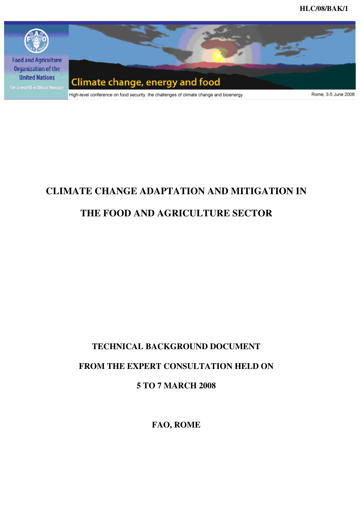**HLC/08/BAK/1** 



# **CLIMATE CHANGE ADAPTATION AND MITIGATION IN THE FOOD AND AGRICULTURE SECTOR**

# **TECHNICAL BACKGROUND DOCUMENT FROM THE EXPERT CONSULTATION HELD ON 5 TO 7 MARCH 2008**

**FAO, ROME**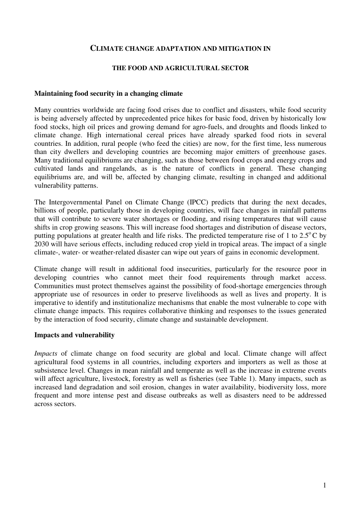### **CLIMATE CHANGE ADAPTATION AND MITIGATION IN**

#### **THE FOOD AND AGRICULTURAL SECTOR**

#### **Maintaining food security in a changing climate**

Many countries worldwide are facing food crises due to conflict and disasters, while food security is being adversely affected by unprecedented price hikes for basic food, driven by historically low food stocks, high oil prices and growing demand for agro-fuels, and droughts and floods linked to climate change. High international cereal prices have already sparked food riots in several countries. In addition, rural people (who feed the cities) are now, for the first time, less numerous than city dwellers and developing countries are becoming major emitters of greenhouse gases. Many traditional equilibriums are changing, such as those between food crops and energy crops and cultivated lands and rangelands, as is the nature of conflicts in general. These changing equilibriums are, and will be, affected by changing climate, resulting in changed and additional vulnerability patterns.

The Intergovernmental Panel on Climate Change (IPCC) predicts that during the next decades, billions of people, particularly those in developing countries, will face changes in rainfall patterns that will contribute to severe water shortages or flooding, and rising temperatures that will cause shifts in crop growing seasons. This will increase food shortages and distribution of disease vectors, putting populations at greater health and life risks. The predicted temperature rise of 1 to  $2.5^{\circ}$ C by 2030 will have serious effects, including reduced crop yield in tropical areas. The impact of a single climate-, water- or weather-related disaster can wipe out years of gains in economic development.

Climate change will result in additional food insecurities, particularly for the resource poor in developing countries who cannot meet their food requirements through market access. Communities must protect themselves against the possibility of food-shortage emergencies through appropriate use of resources in order to preserve livelihoods as well as lives and property. It is imperative to identify and institutionalize mechanisms that enable the most vulnerable to cope with climate change impacts. This requires collaborative thinking and responses to the issues generated by the interaction of food security, climate change and sustainable development.

#### **Impacts and vulnerability**

*Impacts* of climate change on food security are global and local. Climate change will affect agricultural food systems in all countries, including exporters and importers as well as those at subsistence level. Changes in mean rainfall and temperate as well as the increase in extreme events will affect agriculture, livestock, forestry as well as fisheries (see Table 1). Many impacts, such as increased land degradation and soil erosion, changes in water availability, biodiversity loss, more frequent and more intense pest and disease outbreaks as well as disasters need to be addressed across sectors.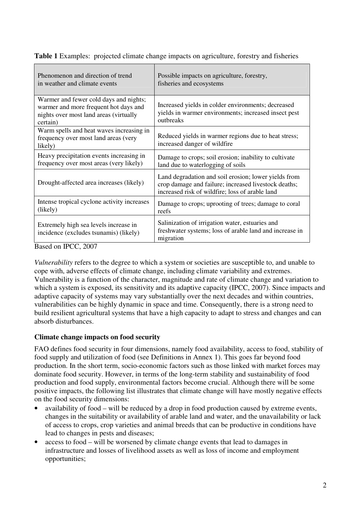| Phenomenon and direction of trend<br>in weather and climate events                                                                    | Possible impacts on agriculture, forestry,<br>fisheries and ecosystems                                                                                          |  |
|---------------------------------------------------------------------------------------------------------------------------------------|-----------------------------------------------------------------------------------------------------------------------------------------------------------------|--|
| Warmer and fewer cold days and nights;<br>warmer and more frequent hot days and<br>nights over most land areas (virtually<br>certain) | Increased yields in colder environments; decreased<br>yields in warmer environments; increased insect pest<br>outbreaks                                         |  |
| Warm spells and heat waves increasing in<br>frequency over most land areas (very<br>likely)                                           | Reduced yields in warmer regions due to heat stress;<br>increased danger of wildfire                                                                            |  |
| Heavy precipitation events increasing in<br>frequency over most areas (very likely)                                                   | Damage to crops; soil erosion; inability to cultivate<br>land due to waterlogging of soils                                                                      |  |
| Drought-affected area increases (likely)                                                                                              | Land degradation and soil erosion; lower yields from<br>crop damage and failure; increased livestock deaths;<br>increased risk of wildfire; loss of arable land |  |
| Intense tropical cyclone activity increases<br>(likely)                                                                               | Damage to crops; uprooting of trees; damage to coral<br>reefs                                                                                                   |  |
| Extremely high sea levels increase in<br>incidence (excludes tsunamis) (likely)                                                       | Salinization of irrigation water, estuaries and<br>freshwater systems; loss of arable land and increase in<br>migration                                         |  |

**Table 1** Examples: projected climate change impacts on agriculture, forestry and fisheries

Based on IPCC, 2007

*Vulnerability* refers to the degree to which a system or societies are susceptible to, and unable to cope with, adverse effects of climate change, including climate variability and extremes. Vulnerability is a function of the character, magnitude and rate of climate change and variation to which a system is exposed, its sensitivity and its adaptive capacity (IPCC, 2007). Since impacts and adaptive capacity of systems may vary substantially over the next decades and within countries, vulnerabilities can be highly dynamic in space and time. Consequently, there is a strong need to build resilient agricultural systems that have a high capacity to adapt to stress and changes and can absorb disturbances.

# **Climate change impacts on food security**

FAO defines food security in four dimensions, namely food availability, access to food, stability of food supply and utilization of food (see Definitions in Annex 1). This goes far beyond food production. In the short term, socio-economic factors such as those linked with market forces may dominate food security. However, in terms of the long-term stability and sustainability of food production and food supply, environmental factors become crucial. Although there will be some positive impacts, the following list illustrates that climate change will have mostly negative effects on the food security dimensions:

- availability of food will be reduced by a drop in food production caused by extreme events, changes in the suitability or availability of arable land and water, and the unavailability or lack of access to crops, crop varieties and animal breeds that can be productive in conditions have lead to changes in pests and diseases;
- access to food will be worsened by climate change events that lead to damages in infrastructure and losses of livelihood assets as well as loss of income and employment opportunities;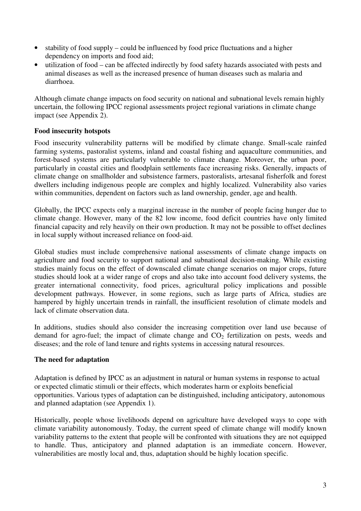- stability of food supply could be influenced by food price fluctuations and a higher dependency on imports and food aid;
- utilization of food can be affected indirectly by food safety hazards associated with pests and animal diseases as well as the increased presence of human diseases such as malaria and diarrhoea.

Although climate change impacts on food security on national and subnational levels remain highly uncertain, the following IPCC regional assessments project regional variations in climate change impact (see Appendix 2).

# **Food insecurity hotspots**

Food insecurity vulnerability patterns will be modified by climate change. Small-scale rainfed farming systems, pastoralist systems, inland and coastal fishing and aquaculture communities, and forest-based systems are particularly vulnerable to climate change. Moreover, the urban poor, particularly in coastal cities and floodplain settlements face increasing risks. Generally, impacts of climate change on smallholder and subsistence farmers, pastoralists, artesanal fisherfolk and forest dwellers including indigenous people are complex and highly localized. Vulnerability also varies within communities, dependent on factors such as land ownership, gender, age and health.

Globally, the IPCC expects only a marginal increase in the number of people facing hunger due to climate change. However, many of the 82 low income, food deficit countries have only limited financial capacity and rely heavily on their own production. It may not be possible to offset declines in local supply without increased reliance on food-aid.

Global studies must include comprehensive national assessments of climate change impacts on agriculture and food security to support national and subnational decision-making. While existing studies mainly focus on the effect of downscaled climate change scenarios on major crops, future studies should look at a wider range of crops and also take into account food delivery systems, the greater international connectivity, food prices, agricultural policy implications and possible development pathways. However, in some regions, such as large parts of Africa, studies are hampered by highly uncertain trends in rainfall, the insufficient resolution of climate models and lack of climate observation data.

In additions, studies should also consider the increasing competition over land use because of demand for agro-fuel; the impact of climate change and  $CO<sub>2</sub>$  fertilization on pests, weeds and diseases; and the role of land tenure and rights systems in accessing natural resources.

# **The need for adaptation**

Adaptation is defined by IPCC as an adjustment in natural or human systems in response to actual or expected climatic stimuli or their effects, which moderates harm or exploits beneficial opportunities. Various types of adaptation can be distinguished, including anticipatory, autonomous and planned adaptation (see Appendix 1).

Historically, people whose livelihoods depend on agriculture have developed ways to cope with climate variability autonomously. Today, the current speed of climate change will modify known variability patterns to the extent that people will be confronted with situations they are not equipped to handle. Thus, anticipatory and planned adaptation is an immediate concern. However, vulnerabilities are mostly local and, thus, adaptation should be highly location specific.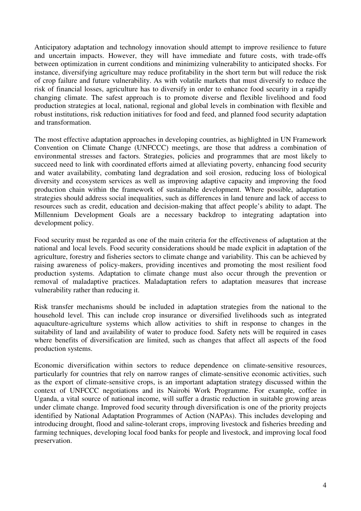Anticipatory adaptation and technology innovation should attempt to improve resilience to future and uncertain impacts. However, they will have immediate and future costs, with trade-offs between optimization in current conditions and minimizing vulnerability to anticipated shocks. For instance, diversifying agriculture may reduce profitability in the short term but will reduce the risk of crop failure and future vulnerability. As with volatile markets that must diversify to reduce the risk of financial losses, agriculture has to diversify in order to enhance food security in a rapidly changing climate. The safest approach is to promote diverse and flexible livelihood and food production strategies at local, national, regional and global levels in combination with flexible and robust institutions, risk reduction initiatives for food and feed, and planned food security adaptation and transformation.

The most effective adaptation approaches in developing countries, as highlighted in UN Framework Convention on Climate Change (UNFCCC) meetings, are those that address a combination of environmental stresses and factors. Strategies, policies and programmes that are most likely to succeed need to link with coordinated efforts aimed at alleviating poverty, enhancing food security and water availability, combating land degradation and soil erosion, reducing loss of biological diversity and ecosystem services as well as improving adaptive capacity and improving the food production chain within the framework of sustainable development. Where possible, adaptation strategies should address social inequalities, such as differences in land tenure and lack of access to resources such as credit, education and decision-making that affect people's ability to adapt. The Millennium Development Goals are a necessary backdrop to integrating adaptation into development policy.

Food security must be regarded as one of the main criteria for the effectiveness of adaptation at the national and local levels. Food security considerations should be made explicit in adaptation of the agriculture, forestry and fisheries sectors to climate change and variability. This can be achieved by raising awareness of policy-makers, providing incentives and promoting the most resilient food production systems. Adaptation to climate change must also occur through the prevention or removal of maladaptive practices. Maladaptation refers to adaptation measures that increase vulnerability rather than reducing it.

Risk transfer mechanisms should be included in adaptation strategies from the national to the household level. This can include crop insurance or diversified livelihoods such as integrated aquaculture-agriculture systems which allow activities to shift in response to changes in the suitability of land and availability of water to produce food. Safety nets will be required in cases where benefits of diversification are limited, such as changes that affect all aspects of the food production systems.

Economic diversification within sectors to reduce dependence on climate-sensitive resources, particularly for countries that rely on narrow ranges of climate-sensitive economic activities, such as the export of climate-sensitive crops, is an important adaptation strategy discussed within the context of UNFCCC negotiations and its Nairobi Work Programme. For example, coffee in Uganda, a vital source of national income, will suffer a drastic reduction in suitable growing areas under climate change. Improved food security through diversification is one of the priority projects identified by National Adaptation Programmes of Action (NAPAs). This includes developing and introducing drought, flood and saline-tolerant crops, improving livestock and fisheries breeding and farming techniques, developing local food banks for people and livestock, and improving local food preservation.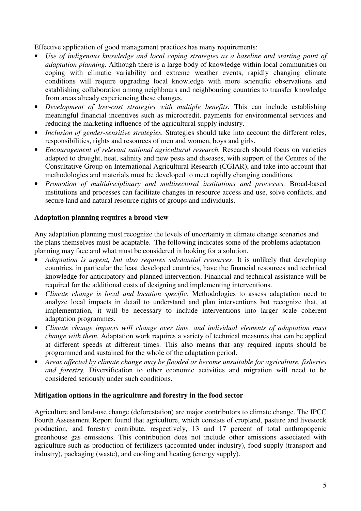Effective application of good management practices has many requirements:

- *Use of indigenous knowledge and local coping strategies as a baseline and starting point of adaptation planning.* Although there is a large body of knowledge within local communities on coping with climatic variability and extreme weather events, rapidly changing climate conditions will require upgrading local knowledge with more scientific observations and establishing collaboration among neighbours and neighbouring countries to transfer knowledge from areas already experiencing these changes.
- *Development of low-cost strategies with multiple benefits.* This can include establishing meaningful financial incentives such as microcredit, payments for environmental services and reducing the marketing influence of the agricultural supply industry.
- *Inclusion of gender-sensitive strategies.* Strategies should take into account the different roles, responsibilities, rights and resources of men and women, boys and girls.
- *Encouragement of relevant national agricultural research.* Research should focus on varieties adapted to drought, heat, salinity and new pests and diseases, with support of the Centres of the Consultative Group on International Agricultural Research (CGIAR), and take into account that methodologies and materials must be developed to meet rapidly changing conditions.
- *Promotion of multidisciplinary and multisectoral institutions and processes.* Broad-based institutions and processes can facilitate changes in resource access and use, solve conflicts, and secure land and natural resource rights of groups and individuals.

# **Adaptation planning requires a broad view**

Any adaptation planning must recognize the levels of uncertainty in climate change scenarios and the plans themselves must be adaptable. The following indicates some of the problems adaptation planning may face and what must be considered in looking for a solution.

- *Adaptation is urgent, but also requires substantial resources*. It is unlikely that developing countries, in particular the least developed countries, have the financial resources and technical knowledge for anticipatory and planned intervention. Financial and technical assistance will be required for the additional costs of designing and implementing interventions.
- *Climate change is local and location specific*. Methodologies to assess adaptation need to analyze local impacts in detail to understand and plan interventions but recognize that, at implementation, it will be necessary to include interventions into larger scale coherent adaptation programmes.
- *Climate change impacts will change over time, and individual elements of adaptation must change with them.* Adaptation work requires a variety of technical measures that can be applied at different speeds at different times. This also means that any required inputs should be programmed and sustained for the whole of the adaptation period.
- *Areas affected by climate change may be flooded or become unsuitable for agriculture, fisheries and forestry.* Diversification to other economic activities and migration will need to be considered seriously under such conditions.

# **Mitigation options in the agriculture and forestry in the food sector**

Agriculture and land-use change (deforestation) are major contributors to climate change. The IPCC Fourth Assessment Report found that agriculture, which consists of cropland, pasture and livestock production, and forestry contribute, respectively, 13 and 17 percent of total anthropogenic greenhouse gas emissions. This contribution does not include other emissions associated with agriculture such as production of fertilizers (accounted under industry), food supply (transport and industry), packaging (waste), and cooling and heating (energy supply).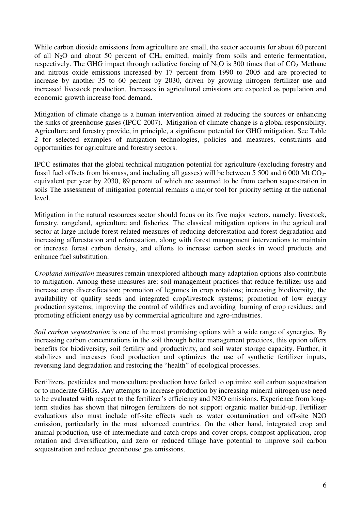While carbon dioxide emissions from agriculture are small, the sector accounts for about 60 percent of all  $N_2O$  and about 50 percent of  $CH_4$  emitted, mainly from soils and enteric fermentation, respectively. The GHG impact through radiative forcing of  $N_2O$  is 300 times that of  $CO<sub>2</sub>$ . Methane and nitrous oxide emissions increased by 17 percent from 1990 to 2005 and are projected to increase by another 35 to 60 percent by 2030, driven by growing nitrogen fertilizer use and increased livestock production. Increases in agricultural emissions are expected as population and economic growth increase food demand.

Mitigation of climate change is a human intervention aimed at reducing the sources or enhancing the sinks of greenhouse gases (IPCC 2007). Mitigation of climate change is a global responsibility. Agriculture and forestry provide, in principle, a significant potential for GHG mitigation. See Table 2 for selected examples of mitigation technologies, policies and measures, constraints and opportunities for agriculture and forestry sectors.

IPCC estimates that the global technical mitigation potential for agriculture (excluding forestry and fossil fuel offsets from biomass, and including all gasses) will be between 5 500 and 6 000 Mt  $CO<sub>2</sub>$ equivalent per year by 2030, 89 percent of which are assumed to be from carbon sequestration in soils The assessment of mitigation potential remains a major tool for priority setting at the national level.

Mitigation in the natural resources sector should focus on its five major sectors, namely: livestock, forestry, rangeland, agriculture and fisheries. The classical mitigation options in the agricultural sector at large include forest-related measures of reducing deforestation and forest degradation and increasing afforestation and reforestation, along with forest management interventions to maintain or increase forest carbon density, and efforts to increase carbon stocks in wood products and enhance fuel substitution.

*Cropland mitigation* measures remain unexplored although many adaptation options also contribute to mitigation. Among these measures are: soil management practices that reduce fertilizer use and increase crop diversification; promotion of legumes in crop rotations; increasing biodiversity, the availability of quality seeds and integrated crop/livestock systems; promotion of low energy production systems; improving the control of wildfires and avoiding burning of crop residues; and promoting efficient energy use by commercial agriculture and agro-industries.

*Soil carbon sequestration* is one of the most promising options with a wide range of synergies. By increasing carbon concentrations in the soil through better management practices, this option offers benefits for biodiversity, soil fertility and productivity, and soil water storage capacity. Further, it stabilizes and increases food production and optimizes the use of synthetic fertilizer inputs, reversing land degradation and restoring the "health" of ecological processes.

Fertilizers, pesticides and monoculture production have failed to optimize soil carbon sequestration or to moderate GHGs. Any attempts to increase production by increasing mineral nitrogen use need to be evaluated with respect to the fertilizer's efficiency and N2O emissions. Experience from longterm studies has shown that nitrogen fertilizers do not support organic matter build-up. Fertilizer evaluations also must include off-site effects such as water contamination and off-site N2O emission, particularly in the most advanced countries. On the other hand, integrated crop and animal production, use of intermediate and catch crops and cover crops, compost application, crop rotation and diversification, and zero or reduced tillage have potential to improve soil carbon sequestration and reduce greenhouse gas emissions.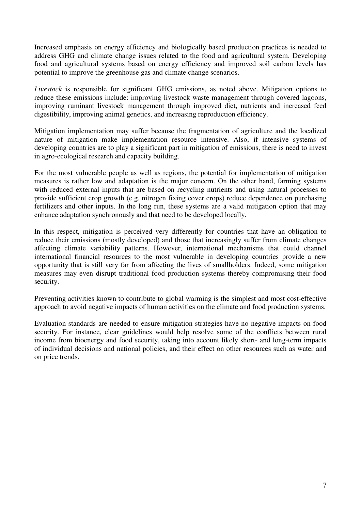Increased emphasis on energy efficiency and biologically based production practices is needed to address GHG and climate change issues related to the food and agricultural system. Developing food and agricultural systems based on energy efficiency and improved soil carbon levels has potential to improve the greenhouse gas and climate change scenarios.

*Livestock* is responsible for significant GHG emissions, as noted above. Mitigation options to reduce these emissions include: improving livestock waste management through covered lagoons, improving ruminant livestock management through improved diet, nutrients and increased feed digestibility, improving animal genetics, and increasing reproduction efficiency.

Mitigation implementation may suffer because the fragmentation of agriculture and the localized nature of mitigation make implementation resource intensive. Also, if intensive systems of developing countries are to play a significant part in mitigation of emissions, there is need to invest in agro-ecological research and capacity building.

For the most vulnerable people as well as regions, the potential for implementation of mitigation measures is rather low and adaptation is the major concern. On the other hand, farming systems with reduced external inputs that are based on recycling nutrients and using natural processes to provide sufficient crop growth (e.g. nitrogen fixing cover crops) reduce dependence on purchasing fertilizers and other inputs. In the long run, these systems are a valid mitigation option that may enhance adaptation synchronously and that need to be developed locally.

In this respect, mitigation is perceived very differently for countries that have an obligation to reduce their emissions (mostly developed) and those that increasingly suffer from climate changes affecting climate variability patterns. However, international mechanisms that could channel international financial resources to the most vulnerable in developing countries provide a new opportunity that is still very far from affecting the lives of smallholders. Indeed, some mitigation measures may even disrupt traditional food production systems thereby compromising their food security.

Preventing activities known to contribute to global warming is the simplest and most cost-effective approach to avoid negative impacts of human activities on the climate and food production systems.

Evaluation standards are needed to ensure mitigation strategies have no negative impacts on food security. For instance, clear guidelines would help resolve some of the conflicts between rural income from bioenergy and food security, taking into account likely short- and long-term impacts of individual decisions and national policies, and their effect on other resources such as water and on price trends.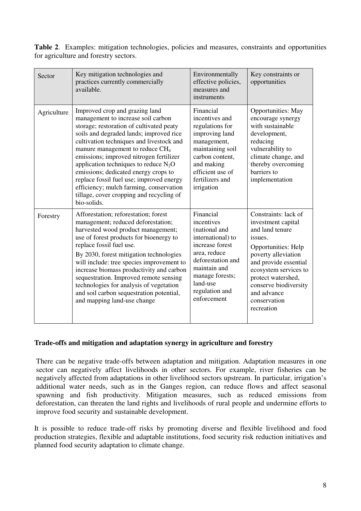**Table 2**. Examples: mitigation technologies, policies and measures, constraints and opportunities for agriculture and forestry sectors.

| Sector      | Key mitigation technologies and<br>practices currently commercially<br>available.                                                                                                                                                                                                                                                                                                                                                                                                                                                      | Environmentally<br>effective policies,<br>measures and<br>instruments                                                                                                                                 | Key constraints or<br>opportunities                                                                                                                                                                                                                                  |
|-------------|----------------------------------------------------------------------------------------------------------------------------------------------------------------------------------------------------------------------------------------------------------------------------------------------------------------------------------------------------------------------------------------------------------------------------------------------------------------------------------------------------------------------------------------|-------------------------------------------------------------------------------------------------------------------------------------------------------------------------------------------------------|----------------------------------------------------------------------------------------------------------------------------------------------------------------------------------------------------------------------------------------------------------------------|
| Agriculture | Improved crop and grazing land<br>management to increase soil carbon<br>storage; restoration of cultivated peaty<br>soils and degraded lands; improved rice<br>cultivation techniques and livestock and<br>manure management to reduce CH <sub>4</sub><br>emissions; improved nitrogen fertilizer<br>application techniques to reduce $N_2O$<br>emissions; dedicated energy crops to<br>replace fossil fuel use; improved energy<br>efficiency; mulch farming, conservation<br>tillage, cover cropping and recycling of<br>bio-solids. | Financial<br>incentives and<br>regulations for<br>improving land<br>management,<br>maintaining soil<br>carbon content,<br>and making<br>efficient use of<br>fertilizers and<br>irrigation             | <b>Opportunities: May</b><br>encourage synergy<br>with sustainable<br>development,<br>reducing<br>vulnerability to<br>climate change, and<br>thereby overcoming<br>barriers to<br>implementation                                                                     |
| Forestry    | Afforestation; reforestation; forest<br>management; reduced deforestation;<br>harvested wood product management;<br>use of forest products for bioenergy to<br>replace fossil fuel use.<br>By 2030, forest mitigation technologies<br>will include: tree species improvement to<br>increase biomass productivity and carbon<br>sequestration. Improved remote sensing<br>technologies for analysis of vegetation<br>and soil carbon sequestration potential,<br>and mapping land-use change                                            | Financial<br>incentives<br>(national and<br>international) to<br>increase forest<br>area, reduce<br>deforestation and<br>maintain and<br>manage forests;<br>land-use<br>regulation and<br>enforcement | Constraints: lack of<br>investment capital<br>and land tenure<br>issues.<br>Opportunities: Help<br>poverty alleviation<br>and provide essential<br>ecosystem services to<br>protect watershed,<br>conserve biodiversity<br>and advance<br>conservation<br>recreation |

# **Trade-offs and mitigation and adaptation synergy in agriculture and forestry**

There can be negative trade-offs between adaptation and mitigation. Adaptation measures in one sector can negatively affect livelihoods in other sectors. For example, river fisheries can be negatively affected from adaptations in other livelihood sectors upstream. In particular, irrigation's additional water needs, such as in the Ganges region, can reduce flows and affect seasonal spawning and fish productivity. Mitigation measures, such as reduced emissions from deforestation, can threaten the land rights and livelihoods of rural people and undermine efforts to improve food security and sustainable development.

It is possible to reduce trade-off risks by promoting diverse and flexible livelihood and food production strategies, flexible and adaptable institutions, food security risk reduction initiatives and planned food security adaptation to climate change.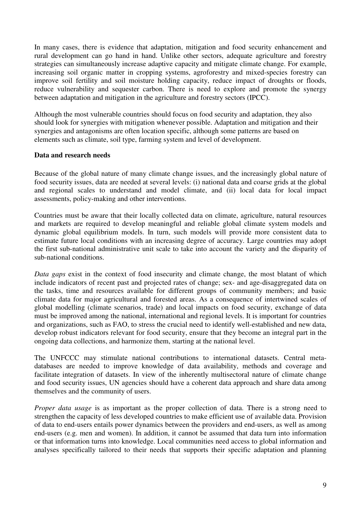In many cases, there is evidence that adaptation, mitigation and food security enhancement and rural development can go hand in hand. Unlike other sectors, adequate agriculture and forestry strategies can simultaneously increase adaptive capacity and mitigate climate change. For example, increasing soil organic matter in cropping systems, agroforestry and mixed-species forestry can improve soil fertility and soil moisture holding capacity, reduce impact of droughts or floods, reduce vulnerability and sequester carbon. There is need to explore and promote the synergy between adaptation and mitigation in the agriculture and forestry sectors (IPCC).

Although the most vulnerable countries should focus on food security and adaptation, they also should look for synergies with mitigation whenever possible. Adaptation and mitigation and their synergies and antagonisms are often location specific, although some patterns are based on elements such as climate, soil type, farming system and level of development.

### **Data and research needs**

Because of the global nature of many climate change issues, and the increasingly global nature of food security issues, data are needed at several levels: (i) national data and coarse grids at the global and regional scales to understand and model climate, and (ii) local data for local impact assessments, policy-making and other interventions.

Countries must be aware that their locally collected data on climate, agriculture, natural resources and markets are required to develop meaningful and reliable global climate system models and dynamic global equilibrium models. In turn, such models will provide more consistent data to estimate future local conditions with an increasing degree of accuracy. Large countries may adopt the first sub-national administrative unit scale to take into account the variety and the disparity of sub-national conditions.

*Data gaps* exist in the context of food insecurity and climate change, the most blatant of which include indicators of recent past and projected rates of change; sex- and age-disaggregated data on the tasks, time and resources available for different groups of community members; and basic climate data for major agricultural and forested areas. As a consequence of intertwined scales of global modelling (climate scenarios, trade) and local impacts on food security, exchange of data must be improved among the national, international and regional levels. It is important for countries and organizations, such as FAO, to stress the crucial need to identify well-established and new data, develop robust indicators relevant for food security, ensure that they become an integral part in the ongoing data collections, and harmonize them, starting at the national level.

The UNFCCC may stimulate national contributions to international datasets. Central metadatabases are needed to improve knowledge of data availability, methods and coverage and facilitate integration of datasets. In view of the inherently multisectoral nature of climate change and food security issues, UN agencies should have a coherent data approach and share data among themselves and the community of users.

*Proper data usage* is as important as the proper collection of data. There is a strong need to strengthen the capacity of less developed countries to make efficient use of available data. Provision of data to end-users entails power dynamics between the providers and end-users, as well as among end-users (e.g. men and women). In addition, it cannot be assumed that data turn into information or that information turns into knowledge. Local communities need access to global information and analyses specifically tailored to their needs that supports their specific adaptation and planning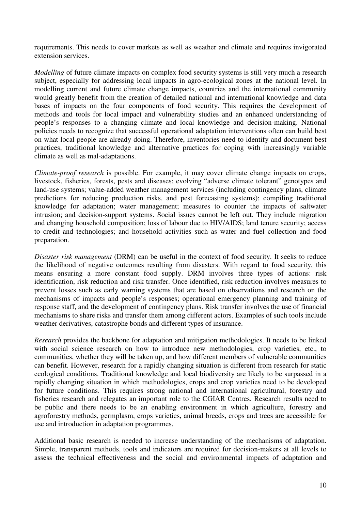requirements. This needs to cover markets as well as weather and climate and requires invigorated extension services.

*Modelling* of future climate impacts on complex food security systems is still very much a research subject, especially for addressing local impacts in agro-ecological zones at the national level. In modelling current and future climate change impacts, countries and the international community would greatly benefit from the creation of detailed national and international knowledge and data bases of impacts on the four components of food security. This requires the development of methods and tools for local impact and vulnerability studies and an enhanced understanding of people's responses to a changing climate and local knowledge and decision-making. National policies needs to recognize that successful operational adaptation interventions often can build best on what local people are already doing. Therefore, inventories need to identify and document best practices, traditional knowledge and alternative practices for coping with increasingly variable climate as well as mal-adaptations.

*Climate-proof research* is possible. For example, it may cover climate change impacts on crops, livestock, fisheries, forests, pests and diseases; evolving "adverse climate tolerant" genotypes and land-use systems; value-added weather management services (including contingency plans, climate predictions for reducing production risks, and pest forecasting systems); compiling traditional knowledge for adaptation; water management; measures to counter the impacts of saltwater intrusion; and decision-support systems. Social issues cannot be left out. They include migration and changing household composition; loss of labour due to HIV/AIDS; land tenure security; access to credit and technologies; and household activities such as water and fuel collection and food preparation.

*Disaster risk management* (DRM) can be useful in the context of food security. It seeks to reduce the likelihood of negative outcomes resulting from disasters. With regard to food security, this means ensuring a more constant food supply. DRM involves three types of actions: risk identification, risk reduction and risk transfer. Once identified, risk reduction involves measures to prevent losses such as early warning systems that are based on observations and research on the mechanisms of impacts and people's responses; operational emergency planning and training of response staff, and the development of contingency plans. Risk transfer involves the use of financial mechanisms to share risks and transfer them among different actors. Examples of such tools include weather derivatives, catastrophe bonds and different types of insurance.

*Research* provides the backbone for adaptation and mitigation methodologies. It needs to be linked with social science research on how to introduce new methodologies, crop varieties, etc., to communities, whether they will be taken up, and how different members of vulnerable communities can benefit. However, research for a rapidly changing situation is different from research for static ecological conditions. Traditional knowledge and local biodiversity are likely to be surpassed in a rapidly changing situation in which methodologies, crops and crop varieties need to be developed for future conditions. This requires strong national and international agricultural, forestry and fisheries research and relegates an important role to the CGIAR Centres. Research results need to be public and there needs to be an enabling environment in which agriculture, forestry and agroforestry methods, germplasm, crops varieties, animal breeds, crops and trees are accessible for use and introduction in adaptation programmes.

Additional basic research is needed to increase understanding of the mechanisms of adaptation. Simple, transparent methods, tools and indicators are required for decision-makers at all levels to assess the technical effectiveness and the social and environmental impacts of adaptation and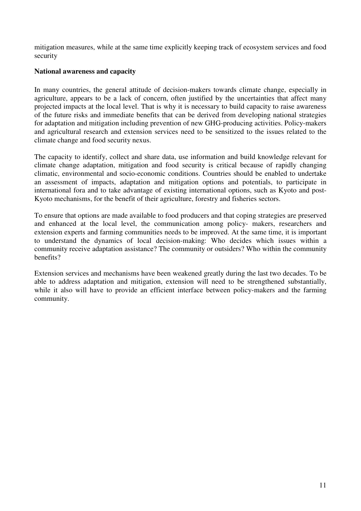mitigation measures, while at the same time explicitly keeping track of ecosystem services and food security

# **National awareness and capacity**

In many countries, the general attitude of decision-makers towards climate change, especially in agriculture, appears to be a lack of concern, often justified by the uncertainties that affect many projected impacts at the local level. That is why it is necessary to build capacity to raise awareness of the future risks and immediate benefits that can be derived from developing national strategies for adaptation and mitigation including prevention of new GHG-producing activities. Policy-makers and agricultural research and extension services need to be sensitized to the issues related to the climate change and food security nexus.

The capacity to identify, collect and share data, use information and build knowledge relevant for climate change adaptation, mitigation and food security is critical because of rapidly changing climatic, environmental and socio-economic conditions. Countries should be enabled to undertake an assessment of impacts, adaptation and mitigation options and potentials, to participate in international fora and to take advantage of existing international options, such as Kyoto and post-Kyoto mechanisms, for the benefit of their agriculture, forestry and fisheries sectors.

To ensure that options are made available to food producers and that coping strategies are preserved and enhanced at the local level, the communication among policy- makers, researchers and extension experts and farming communities needs to be improved. At the same time, it is important to understand the dynamics of local decision-making: Who decides which issues within a community receive adaptation assistance? The community or outsiders? Who within the community benefits?

Extension services and mechanisms have been weakened greatly during the last two decades. To be able to address adaptation and mitigation, extension will need to be strengthened substantially, while it also will have to provide an efficient interface between policy-makers and the farming community.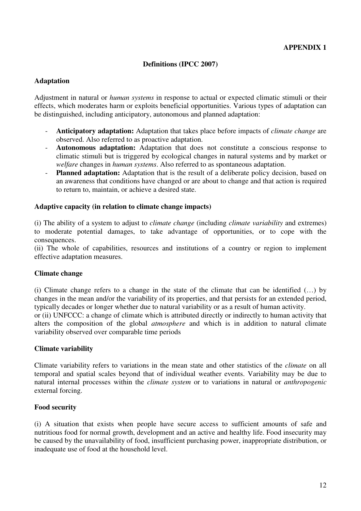# **Definitions (IPCC 2007)**

#### **Adaptation**

Adjustment in natural or *human systems* in response to actual or expected climatic stimuli or their effects, which moderates harm or exploits beneficial opportunities. Various types of adaptation can be distinguished, including anticipatory, autonomous and planned adaptation:

- **Anticipatory adaptation:** Adaptation that takes place before impacts of *climate change* are observed. Also referred to as proactive adaptation.
- **Autonomous adaptation:** Adaptation that does not constitute a conscious response to climatic stimuli but is triggered by ecological changes in natural systems and by market or *welfare* changes in *human systems*. Also referred to as spontaneous adaptation.
- **Planned adaptation:** Adaptation that is the result of a deliberate policy decision, based on an awareness that conditions have changed or are about to change and that action is required to return to, maintain, or achieve a desired state.

#### **Adaptive capacity (in relation to climate change impacts)**

(i) The ability of a system to adjust to *climate change* (including *climate variability* and extremes) to moderate potential damages, to take advantage of opportunities, or to cope with the consequences.

(ii) The whole of capabilities, resources and institutions of a country or region to implement effective adaptation measures.

#### **Climate change**

(i) Climate change refers to a change in the state of the climate that can be identified (…) by changes in the mean and/or the variability of its properties, and that persists for an extended period, typically decades or longer whether due to natural variability or as a result of human activity. or (ii) UNFCCC: a change of climate which is attributed directly or indirectly to human activity that

alters the composition of the global *atmosphere* and which is in addition to natural climate variability observed over comparable time periods

#### **Climate variability**

Climate variability refers to variations in the mean state and other statistics of the *climate* on all temporal and spatial scales beyond that of individual weather events. Variability may be due to natural internal processes within the *climate system* or to variations in natural or *anthropogenic*  external forcing.

#### **Food security**

(i) A situation that exists when people have secure access to sufficient amounts of safe and nutritious food for normal growth, development and an active and healthy life. Food insecurity may be caused by the unavailability of food, insufficient purchasing power, inappropriate distribution, or inadequate use of food at the household level.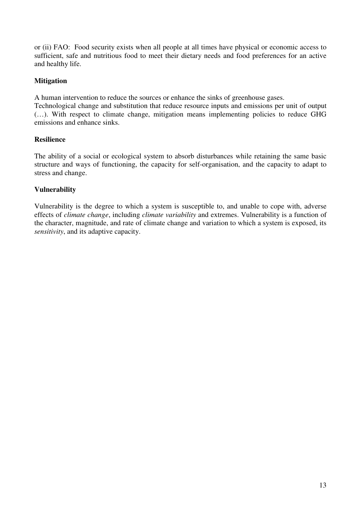or (ii) FAO: Food security exists when all people at all times have physical or economic access to sufficient, safe and nutritious food to meet their dietary needs and food preferences for an active and healthy life.

# **Mitigation**

A human intervention to reduce the sources or enhance the sinks of greenhouse gases.

Technological change and substitution that reduce resource inputs and emissions per unit of output (…). With respect to climate change, mitigation means implementing policies to reduce GHG emissions and enhance sinks.

# **Resilience**

The ability of a social or ecological system to absorb disturbances while retaining the same basic structure and ways of functioning, the capacity for self-organisation, and the capacity to adapt to stress and change.

# **Vulnerability**

Vulnerability is the degree to which a system is susceptible to, and unable to cope with, adverse effects of *climate change*, including *climate variability* and extremes. Vulnerability is a function of the character, magnitude, and rate of climate change and variation to which a system is exposed, its *sensitivity*, and its adaptive capacity.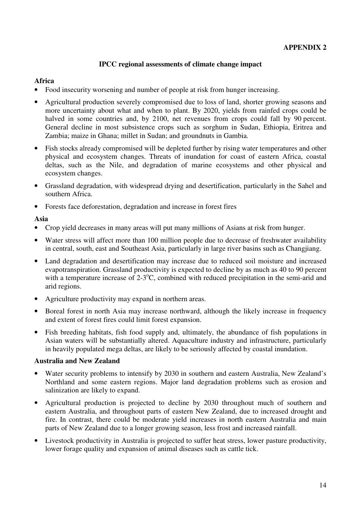# **IPCC regional assessments of climate change impact**

# **Africa**

- Food insecurity worsening and number of people at risk from hunger increasing.
- Agricultural production severely compromised due to loss of land, shorter growing seasons and more uncertainty about what and when to plant. By 2020, yields from rainfed crops could be halved in some countries and, by 2100, net revenues from crops could fall by 90 percent. General decline in most subsistence crops such as sorghum in Sudan, Ethiopia, Eritrea and Zambia; maize in Ghana; millet in Sudan; and groundnuts in Gambia.
- Fish stocks already compromised will be depleted further by rising water temperatures and other physical and ecosystem changes. Threats of inundation for coast of eastern Africa, coastal deltas, such as the Nile, and degradation of marine ecosystems and other physical and ecosystem changes.
- Grassland degradation, with widespread drying and desertification, particularly in the Sahel and southern Africa.
- Forests face deforestation, degradation and increase in forest fires

# **Asia**

- Crop yield decreases in many areas will put many millions of Asians at risk from hunger.
- Water stress will affect more than 100 million people due to decrease of freshwater availability in central, south, east and Southeast Asia, particularly in large river basins such as Changjiang.
- Land degradation and desertification may increase due to reduced soil moisture and increased evapotranspiration. Grassland productivity is expected to decline by as much as 40 to 90 percent with a temperature increase of  $2-3^{\circ}$ C, combined with reduced precipitation in the semi-arid and arid regions.
- Agriculture productivity may expand in northern areas.
- Boreal forest in north Asia may increase northward, although the likely increase in frequency and extent of forest fires could limit forest expansion.
- Fish breeding habitats, fish food supply and, ultimately, the abundance of fish populations in Asian waters will be substantially altered. Aquaculture industry and infrastructure, particularly in heavily populated mega deltas, are likely to be seriously affected by coastal inundation.

# **Australia and New Zealand**

- Water security problems to intensify by 2030 in southern and eastern Australia, New Zealand's Northland and some eastern regions. Major land degradation problems such as erosion and salinization are likely to expand.
- Agricultural production is projected to decline by 2030 throughout much of southern and eastern Australia, and throughout parts of eastern New Zealand, due to increased drought and fire. In contrast, there could be moderate yield increases in north eastern Australia and main parts of New Zealand due to a longer growing season, less frost and increased rainfall.
- Livestock productivity in Australia is projected to suffer heat stress, lower pasture productivity, lower forage quality and expansion of animal diseases such as cattle tick.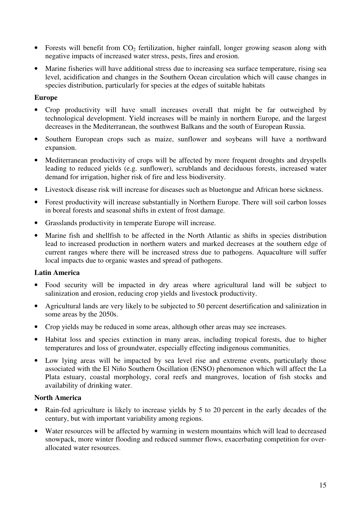- Forests will benefit from  $CO<sub>2</sub>$  fertilization, higher rainfall, longer growing season along with negative impacts of increased water stress, pests, fires and erosion.
- Marine fisheries will have additional stress due to increasing sea surface temperature, rising sea level, acidification and changes in the Southern Ocean circulation which will cause changes in species distribution, particularly for species at the edges of suitable habitats

# **Europe**

- Crop productivity will have small increases overall that might be far outweighed by technological development. Yield increases will be mainly in northern Europe, and the largest decreases in the Mediterranean, the southwest Balkans and the south of European Russia.
- Southern European crops such as maize, sunflower and soybeans will have a northward expansion.
- Mediterranean productivity of crops will be affected by more frequent droughts and dryspells leading to reduced yields (e.g. sunflower), scrublands and deciduous forests, increased water demand for irrigation, higher risk of fire and less biodiversity.
- Livestock disease risk will increase for diseases such as bluetongue and African horse sickness.
- Forest productivity will increase substantially in Northern Europe. There will soil carbon losses in boreal forests and seasonal shifts in extent of frost damage.
- Grasslands productivity in temperate Europe will increase.
- Marine fish and shellfish to be affected in the North Atlantic as shifts in species distribution lead to increased production in northern waters and marked decreases at the southern edge of current ranges where there will be increased stress due to pathogens. Aquaculture will suffer local impacts due to organic wastes and spread of pathogens.

# **Latin America**

- Food security will be impacted in dry areas where agricultural land will be subject to salinization and erosion, reducing crop yields and livestock productivity.
- Agricultural lands are very likely to be subjected to 50 percent desertification and salinization in some areas by the 2050s.
- Crop yields may be reduced in some areas, although other areas may see increases.
- Habitat loss and species extinction in many areas, including tropical forests, due to higher temperatures and loss of groundwater, especially effecting indigenous communities.
- Low lying areas will be impacted by sea level rise and extreme events, particularly those associated with the El Niño Southern Oscillation (ENSO) phenomenon which will affect the La Plata estuary, coastal morphology, coral reefs and mangroves, location of fish stocks and availability of drinking water.

# **North America**

- Rain-fed agriculture is likely to increase yields by 5 to 20 percent in the early decades of the century, but with important variability among regions.
- Water resources will be affected by warming in western mountains which will lead to decreased snowpack, more winter flooding and reduced summer flows, exacerbating competition for overallocated water resources.